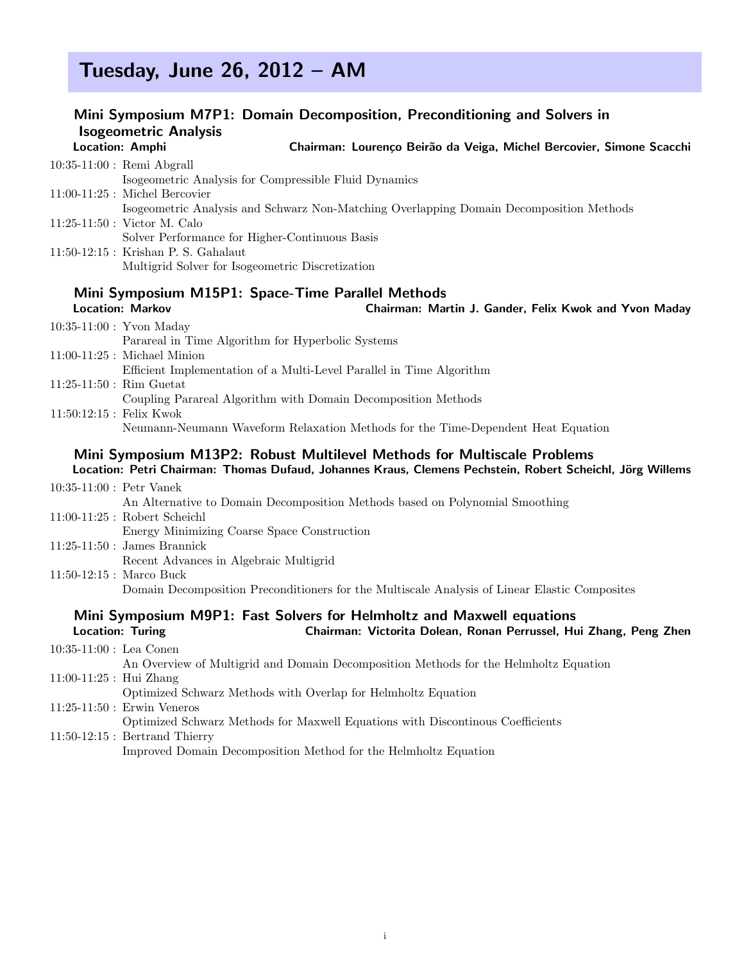## Tuesday, June 26, 2012 – AM

#### Mini Symposium M7P1: Domain Decomposition, Preconditioning and Solvers in **Isogeometric Analysis**<br>Location: Amphi Chairman: Lourenço Beirão da Veiga, Michel Bercovier, Simone Scacchi

|                                                   | LOCALION: AMPHI<br>Chairman: Lourenco Beirao da Velga, Michel Bercovier, Simone Scacci  |  |
|---------------------------------------------------|-----------------------------------------------------------------------------------------|--|
|                                                   | $10:35-11:00$ : Remi Abgrall                                                            |  |
|                                                   | Isogeometric Analysis for Compressible Fluid Dynamics                                   |  |
|                                                   | $11:00-11:25$ : Michel Bercovier                                                        |  |
|                                                   | Isogeometric Analysis and Schwarz Non-Matching Overlapping Domain Decomposition Methods |  |
|                                                   | 11:25-11:50 : Victor M. Calo                                                            |  |
|                                                   | Solver Performance for Higher-Continuous Basis                                          |  |
|                                                   | 11:50-12:15 : Krishan P. S. Gahalaut                                                    |  |
|                                                   | Multigrid Solver for Isogeometric Discretization                                        |  |
| Mini Symposium M15P1: Space-Time Parallel Methods |                                                                                         |  |
|                                                   |                                                                                         |  |

## Mini Symposium M15P1: Space-Time Parallel Methods

Location: Markov Chairman: Martin J. Gander, Felix Kwok and Yvon Maday

|                            | $10:35-11:00:$ Yvon Maday                                                        |
|----------------------------|----------------------------------------------------------------------------------|
|                            | Parareal in Time Algorithm for Hyperbolic Systems                                |
|                            | $11:00-11:25$ : Michael Minion                                                   |
|                            | Efficient Implementation of a Multi-Level Parallel in Time Algorithm             |
| $11:25-11:50:$ Rim Guetat  |                                                                                  |
|                            | Coupling Parareal Algorithm with Domain Decomposition Methods                    |
| $11:50:12:15$ : Felix Kwok |                                                                                  |
|                            | Neumann-Neumann Waveform Relaxation Methods for the Time-Dependent Heat Equation |

### Mini Symposium M13P2: Robust Multilevel Methods for Multiscale Problems

#### Location: Petri Chairman: Thomas Dufaud, Johannes Kraus, Clemens Pechstein, Robert Scheichl, Jörg Willems  $10.35, 11.00$  : Petr Vanek

| 10:35-11:00 : Petr vanek |                                                                                               |
|--------------------------|-----------------------------------------------------------------------------------------------|
|                          | An Alternative to Domain Decomposition Methods based on Polynomial Smoothing                  |
|                          | $11:00-11:25$ : Robert Scheichl                                                               |
|                          | Energy Minimizing Coarse Space Construction                                                   |
|                          | $11:25-11:50$ : James Brannick                                                                |
|                          | Recent Advances in Algebraic Multigrid                                                        |
|                          | $11:50-12:15$ : Marco Buck                                                                    |
|                          | Domain Decomposition Preconditioners for the Multiscale Analysis of Linear Elastic Composites |
|                          |                                                                                               |

#### Mini Symposium M9P1: Fast Solvers for Helmholtz and Maxwell equations Location: Turing Chairman: Victorita Dolean, Ronan Perrussel, Hui Zhang, Peng Zhen

10:35-11:00 : Lea Conen An Overview of Multigrid and Domain Decomposition Methods for the Helmholtz Equation 11:00-11:25 : Hui Zhang

Optimized Schwarz Methods with Overlap for Helmholtz Equation

11:25-11:50 : Erwin Veneros

Optimized Schwarz Methods for Maxwell Equations with Discontinous Coefficients

11:50-12:15 : Bertrand Thierry

Improved Domain Decomposition Method for the Helmholtz Equation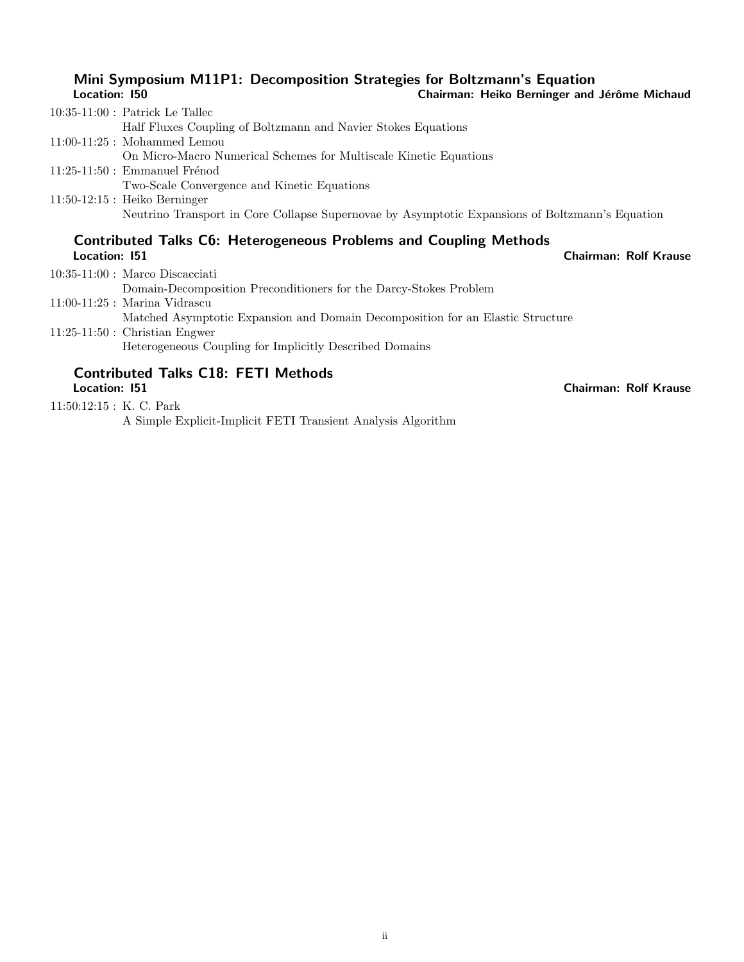## Mini Symposium M11P1: Decomposition Strategies for Boltzmann's Equation

| Location: 150                               | Chairman: Heiko Berninger and Jérôme Michaud                                                    |
|---------------------------------------------|-------------------------------------------------------------------------------------------------|
| $10:35-11:00$ : Patrick Le Tallec           |                                                                                                 |
|                                             | Half Fluxes Coupling of Boltzmann and Navier Stokes Equations                                   |
| $11:00-11:25$ : Mohammed Lemou              |                                                                                                 |
|                                             | On Micro-Macro Numerical Schemes for Multiscale Kinetic Equations                               |
| $11:25-11:50$ : Emmanuel Frénod             |                                                                                                 |
| Two-Scale Convergence and Kinetic Equations |                                                                                                 |
| $11:50-12:15$ : Heiko Berninger             |                                                                                                 |
|                                             | Neutrino Transport in Core Collapse Supernovae by Asymptotic Expansions of Boltzmann's Equation |
|                                             | <b>Contributed Talks C6: Heterogeneous Problems and Coupling Methods</b>                        |
| <b>Location: 151</b>                        | <b>Chairman: Rolf Krause</b>                                                                    |
| $10:35-11:00$ : Marco Discacciati           |                                                                                                 |
|                                             | Domain-Decomposition Preconditioners for the Darcy-Stokes Problem                               |
| $11:00-11:25$ : Marina Vidrascu             |                                                                                                 |
|                                             | Matched Asymptotic Expansion and Domain Decomposition for an Elastic Structure                  |
| $11:25-11:50$ : Christian Engwer            |                                                                                                 |

Heterogeneous Coupling for Implicitly Described Domains

# Contributed Talks C18: FETI Methods

Chairman: Rolf Krause

11:50:12:15 : K. C. Park

A Simple Explicit-Implicit FETI Transient Analysis Algorithm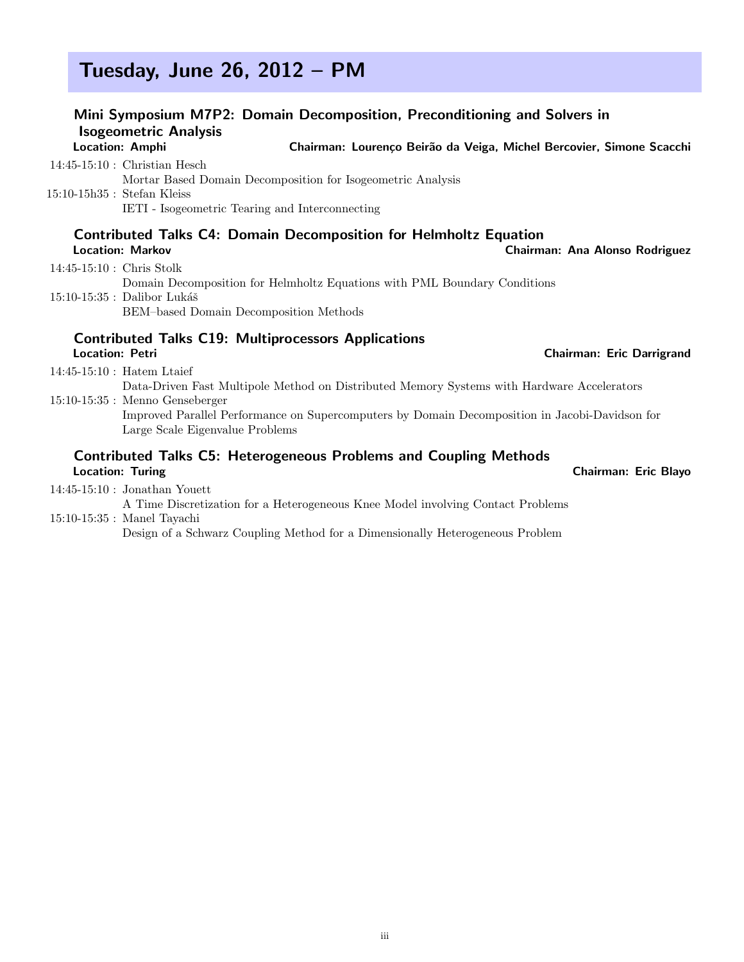## Tuesday, June 26, 2012 – PM

|                             |                                                            | Mini Symposium M7P2: Domain Decomposition, Preconditioning and Solvers in                      |                                  |
|-----------------------------|------------------------------------------------------------|------------------------------------------------------------------------------------------------|----------------------------------|
|                             | <b>Isogeometric Analysis</b>                               |                                                                                                |                                  |
|                             | Location: Amphi                                            | Chairman: Lourenço Beirão da Veiga, Michel Bercovier, Simone Scacchi                           |                                  |
|                             | $14:45-15:10$ : Christian Hesch                            |                                                                                                |                                  |
|                             |                                                            | Mortar Based Domain Decomposition for Isogeometric Analysis                                    |                                  |
|                             | $15:10-15h35$ : Stefan Kleiss                              |                                                                                                |                                  |
|                             | IETI - Isogeometric Tearing and Interconnecting            |                                                                                                |                                  |
|                             |                                                            | <b>Contributed Talks C4: Domain Decomposition for Helmholtz Equation</b>                       |                                  |
|                             | <b>Location: Markov</b>                                    |                                                                                                | Chairman: Ana Alonso Rodriguez   |
| $14:45-15:10$ : Chris Stolk |                                                            |                                                                                                |                                  |
|                             |                                                            | Domain Decomposition for Helmholtz Equations with PML Boundary Conditions                      |                                  |
|                             | $15:10-15:35$ : Dalibor Lukáš                              |                                                                                                |                                  |
|                             | BEM-based Domain Decomposition Methods                     |                                                                                                |                                  |
|                             | <b>Contributed Talks C19: Multiprocessors Applications</b> |                                                                                                |                                  |
| <b>Location: Petri</b>      |                                                            |                                                                                                | <b>Chairman: Eric Darrigrand</b> |
|                             | $14:45-15:10$ : Hatem Ltaief                               |                                                                                                |                                  |
|                             |                                                            | Data-Driven Fast Multipole Method on Distributed Memory Systems with Hardware Accelerators     |                                  |
|                             | $15:10-15:35$ : Menno Genseberger                          |                                                                                                |                                  |
|                             |                                                            | Improved Parallel Performance on Supercomputers by Domain Decomposition in Jacobi-Davidson for |                                  |
|                             | Large Scale Eigenvalue Problems                            |                                                                                                |                                  |
|                             |                                                            | <b>Contributed Talks C5: Heterogeneous Problems and Coupling Methods</b>                       |                                  |
|                             |                                                            |                                                                                                |                                  |

## Location: Turing **Chairman: Exity** Chairman: Eric Blayo

14:45-15:10 : Jonathan Youett

A Time Discretization for a Heterogeneous Knee Model involving Contact Problems 15:10-15:35 : Manel Tayachi

Design of a Schwarz Coupling Method for a Dimensionally Heterogeneous Problem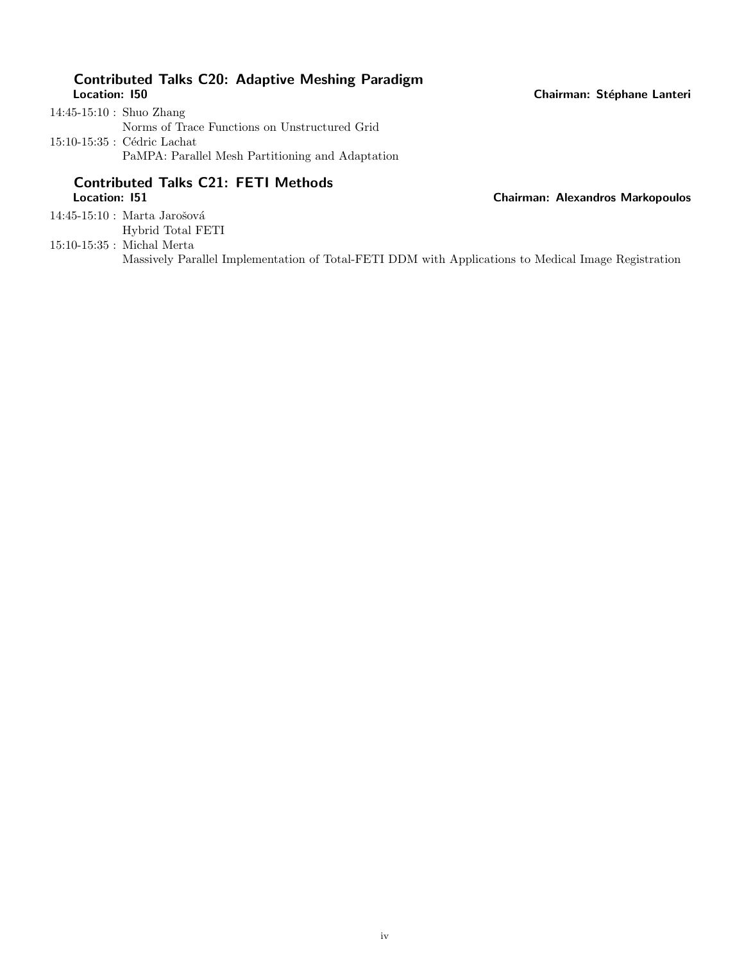## Contributed Talks C20: Adaptive Meshing Paradigm

Chairman: Stéphane Lanteri

14:45-15:10 : Shuo Zhang Norms of Trace Functions on Unstructured Grid  $15:10\textrm{-}15:35$  : Cédric Lachat PaMPA: Parallel Mesh Partitioning and Adaptation

# Contributed Talks C21: FETI Methods

Chairman: Alexandros Markopoulos

 $14:45\textrm{-}15:10$ : Marta Jarošová Hybrid Total FETI

15:10-15:35 : Michal Merta Massively Parallel Implementation of Total-FETI DDM with Applications to Medical Image Registration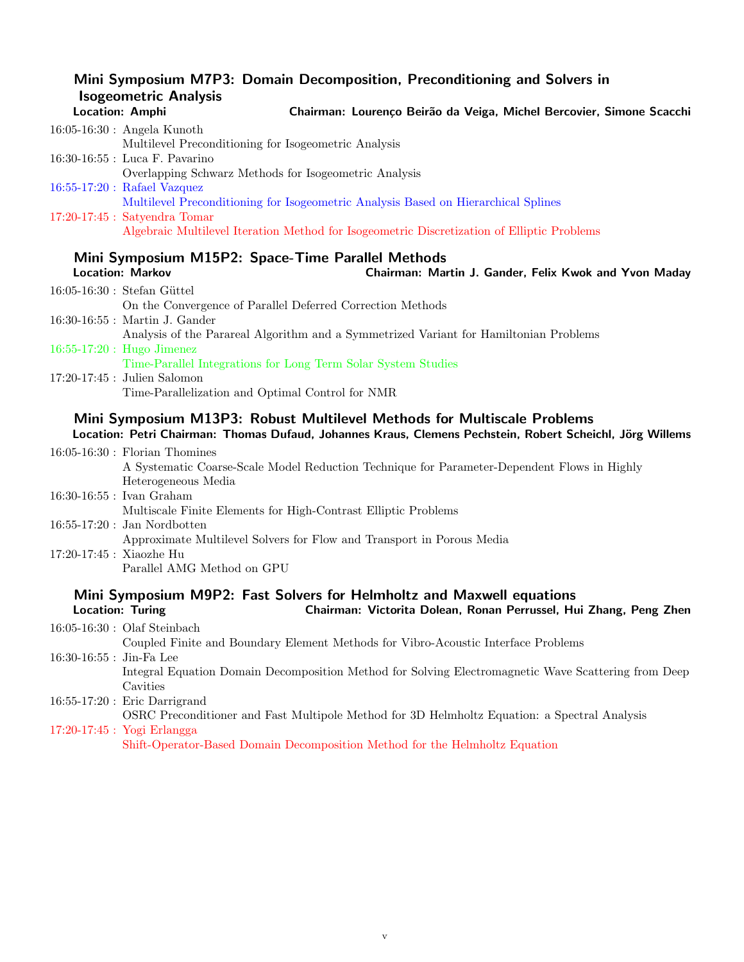#### Mini Symposium M7P3: Domain Decomposition, Preconditioning and Solvers in **Isogeometric Analysis**<br>Location: Amphi Chairman: Lourenço Beirão da Veiga, Michel Bercovier, Simone Scacchi

|  | Chairman: Ebarcheo Deirab au Verga, miener Dercovier, Omnone Seucenn                       |
|--|--------------------------------------------------------------------------------------------|
|  | $16:05-16:30$ : Angela Kunoth                                                              |
|  | Multilevel Preconditioning for Isogeometric Analysis                                       |
|  | 16:30-16:55 : Luca F. Pavarino                                                             |
|  | Overlapping Schwarz Methods for Isogeometric Analysis                                      |
|  | $16:55-17:20$ : Rafael Vazquez                                                             |
|  | Multilevel Preconditioning for Isogeometric Analysis Based on Hierarchical Splines         |
|  | $17:20-17:45$ : Satyendra Tomar                                                            |
|  | Algebraic Multilevel Iteration Method for Isogeometric Discretization of Elliptic Problems |
|  |                                                                                            |
|  |                                                                                            |

#### Mini Symposium M15P2: Space-Time Parallel Methods Location: Markov Chairman: Martin J. Gander, Felix Kwok and Yvon Maday

| $16:05-16:30$ : Stefan Güttel                                                         |
|---------------------------------------------------------------------------------------|
| On the Convergence of Parallel Deferred Correction Methods                            |
| 16:30-16:55 : Martin J. Gander                                                        |
|                                                                                       |
| Analysis of the Parareal Algorithm and a Symmetrized Variant for Hamiltonian Problems |
| $16:55-17:20$ : Hugo Jimenez                                                          |
| Time-Parallel Integrations for Long Term Solar System Studies                         |
| $17:20-17:45$ : Julien Salomon                                                        |
| Time-Parallelization and Optimal Control for NMR                                      |

## Mini Symposium M13P3: Robust Multilevel Methods for Multiscale Problems

### Location: Petri Chairman: Thomas Dufaud, Johannes Kraus, Clemens Pechstein, Robert Scheichl, Jörg Willems 16:05-16:30 : Florian Thomines

|                          | A Systematic Coarse-Scale Model Reduction Technique for Parameter-Dependent Flows in Highly |
|--------------------------|---------------------------------------------------------------------------------------------|
|                          | Heterogeneous Media                                                                         |
|                          | $16:30-16:55$ : Ivan Graham                                                                 |
|                          | Multiscale Finite Elements for High-Contrast Elliptic Problems                              |
|                          | $16:55-17:20$ : Jan Nordbotten                                                              |
|                          | Approximate Multilevel Solvers for Flow and Transport in Porous Media                       |
| 17:20-17:45 : Xiaozhe Hu |                                                                                             |
|                          | Parallel AMG Method on GPU                                                                  |
|                          |                                                                                             |

### Mini Symposium M9P2: Fast Solvers for Helmholtz and Maxwell equations Location: Turing Chairman: Victorita Dolean, Ronan Perrussel, Hui Zhang, Peng Zhen

|                            | $16:05-16:30$ : Olaf Steinbach                                                                      |
|----------------------------|-----------------------------------------------------------------------------------------------------|
|                            | Coupled Finite and Boundary Element Methods for Vibro-Acoustic Interface Problems                   |
| $16:30-16:55$ : Jin-Fa Lee |                                                                                                     |
|                            | Integral Equation Domain Decomposition Method for Solving Electromagnetic Wave Scattering from Deep |
|                            | <b>Cavities</b>                                                                                     |
|                            | $16:55-17:20$ : Eric Darrigrand                                                                     |

OSRC Preconditioner and Fast Multipole Method for 3D Helmholtz Equation: a Spectral Analysis 17:20-17:45 : Yogi Erlangga

Shift-Operator-Based Domain Decomposition Method for the Helmholtz Equation